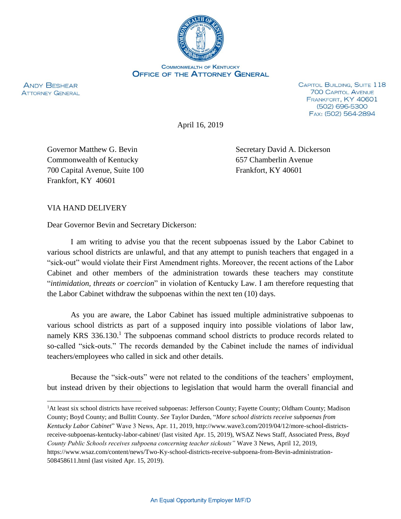

**ANDY BESHEAR ATTORNEY GENERAL**  CAPITOL BUILDING, SUITE 118 **700 CAPITOL AVENUE** FRANKFORT, KY 40601 (502) 696-5300 FAX: (502) 564-2894

April 16, 2019

Commonwealth of Kentucky 657 Chamberlin Avenue 700 Capital Avenue, Suite 100 Frankfort, KY 40601 Frankfort, KY 40601

Governor Matthew G. Bevin Secretary David A. Dickerson

## VIA HAND DELIVERY

Dear Governor Bevin and Secretary Dickerson:

I am writing to advise you that the recent subpoenas issued by the Labor Cabinet to various school districts are unlawful, and that any attempt to punish teachers that engaged in a "sick-out" would violate their First Amendment rights. Moreover, the recent actions of the Labor Cabinet and other members of the administration towards these teachers may constitute "*intimidation, threats or coercion*" in violation of Kentucky Law. I am therefore requesting that the Labor Cabinet withdraw the subpoenas within the next ten (10) days.

As you are aware, the Labor Cabinet has issued multiple administrative subpoenas to various school districts as part of a supposed inquiry into possible violations of labor law, namely KRS 336.130.<sup>1</sup> The subpoenas command school districts to produce records related to so-called "sick-outs." The records demanded by the Cabinet include the names of individual teachers/employees who called in sick and other details.

Because the "sick-outs" were not related to the conditions of the teachers' employment, but instead driven by their objections to legislation that would harm the overall financial and

<sup>1</sup>At least six school districts have received subpoenas: Jefferson County; Fayette County; Oldham County; Madison County; Boyd County; and Bullitt County. *See* Taylor Durden, "*More school districts receive subpoenas from Kentucky Labor Cabinet*" Wave 3 News, Apr. 11, 2019, http://www.wave3.com/2019/04/12/more-school-districtsreceive-subpoenas-kentucky-labor-cabinet/ (last visited Apr. 15, 2019), WSAZ News Staff, Associated Press, *Boyd County Public Schools receives subpoena concerning teacher sickouts"* Wave 3 News, April 12, 2019,

https://www.wsaz.com/content/news/Two-Ky-school-districts-receive-subpoena-from-Bevin-administration-508458611.html (last visited Apr. 15, 2019).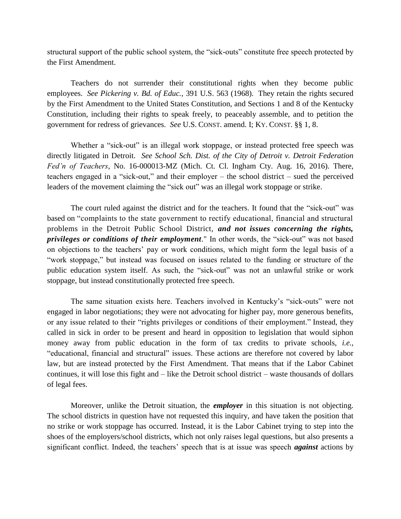structural support of the public school system, the "sick-outs" constitute free speech protected by the First Amendment.

Teachers do not surrender their constitutional rights when they become public employees. *See Pickering v. Bd. of Educ.*, 391 U.S. 563 (1968). They retain the rights secured by the First Amendment to the United States Constitution, and Sections 1 and 8 of the Kentucky Constitution, including their rights to speak freely, to peaceably assemble, and to petition the government for redress of grievances. *See* U.S. CONST. amend. I; KY. CONST. §§ 1, 8.

Whether a "sick-out" is an illegal work stoppage, or instead protected free speech was directly litigated in Detroit. *See School Sch. Dist. of the City of Detroit v. Detroit Federation Fed'n of Teachers*, No. 16-000013-MZ (Mich. Ct. Cl. Ingham Cty. Aug. 16, 2016). There, teachers engaged in a "sick-out," and their employer – the school district – sued the perceived leaders of the movement claiming the "sick out" was an illegal work stoppage or strike.

The court ruled against the district and for the teachers. It found that the "sick-out" was based on "complaints to the state government to rectify educational, financial and structural problems in the Detroit Public School District, *and not issues concerning the rights, privileges or conditions of their employment*." In other words, the "sick-out" was not based on objections to the teachers' pay or work conditions, which might form the legal basis of a "work stoppage," but instead was focused on issues related to the funding or structure of the public education system itself. As such, the "sick-out" was not an unlawful strike or work stoppage, but instead constitutionally protected free speech.

The same situation exists here. Teachers involved in Kentucky's "sick-outs" were not engaged in labor negotiations; they were not advocating for higher pay, more generous benefits, or any issue related to their "rights privileges or conditions of their employment." Instead, they called in sick in order to be present and heard in opposition to legislation that would siphon money away from public education in the form of tax credits to private schools, *i.e.,* "educational, financial and structural" issues. These actions are therefore not covered by labor law, but are instead protected by the First Amendment. That means that if the Labor Cabinet continues, it will lose this fight and – like the Detroit school district – waste thousands of dollars of legal fees.

Moreover, unlike the Detroit situation, the *employer* in this situation is not objecting. The school districts in question have not requested this inquiry, and have taken the position that no strike or work stoppage has occurred. Instead, it is the Labor Cabinet trying to step into the shoes of the employers/school districts, which not only raises legal questions, but also presents a significant conflict. Indeed, the teachers' speech that is at issue was speech *against* actions by